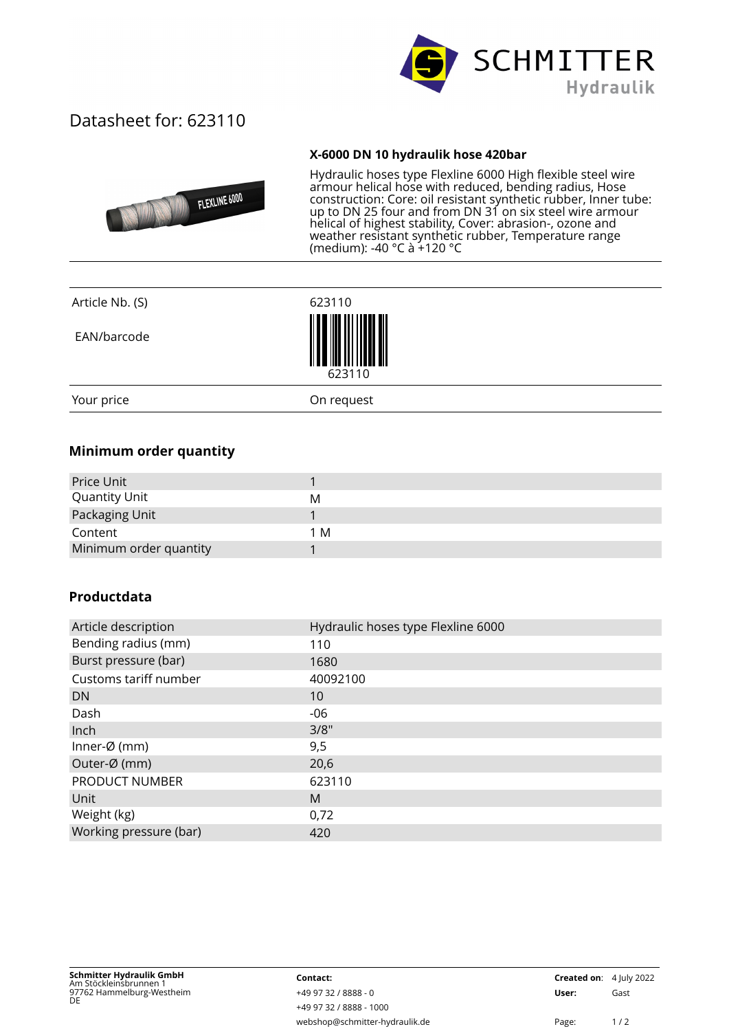

## Datasheet for: 623110

## **X-6000 DN 10 hydraulik hose 420bar**



Hydraulic hoses type Flexline 6000 High flexible steel wire armour helical hose with reduced, bending radius, Hose construction: Core: oil resistant synthetic rubber, Inner tube: up to DN 25 four and from DN 31 on six steel wire armour helical of highest stability, Cover: abrasion-, ozone and weather resistant synthetic rubber, Temperature range (medium): -40 °C à +120 °C

| Article Nb. (S) | 623110     |  |
|-----------------|------------|--|
| EAN/barcode     | 623110     |  |
| Your price      | On request |  |

## **Minimum order quantity**

| Price Unit             |     |
|------------------------|-----|
| <b>Quantity Unit</b>   | M   |
| Packaging Unit         |     |
| Content                | 1 M |
| Minimum order quantity |     |

## **Productdata**

| Article description     | Hydraulic hoses type Flexline 6000 |
|-------------------------|------------------------------------|
| Bending radius (mm)     | 110                                |
| Burst pressure (bar)    | 1680                               |
| Customs tariff number   | 40092100                           |
| DN.                     | 10                                 |
| Dash                    | -06                                |
| Inch                    | 3/8"                               |
| Inner- $\emptyset$ (mm) | 9,5                                |
| Outer-Ø (mm)            | 20,6                               |
| PRODUCT NUMBER          | 623110                             |
| Unit                    | M                                  |
| Weight (kg)             | 0,72                               |
| Working pressure (bar)  | 420                                |